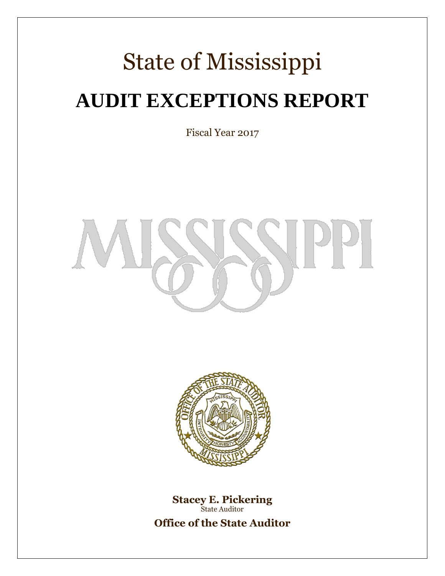# State of Mississippi **AUDIT EXCEPTIONS REPORT**

Fiscal Year 2017





**Stacey E. Pickering** State Auditor

**Office of the State Auditor**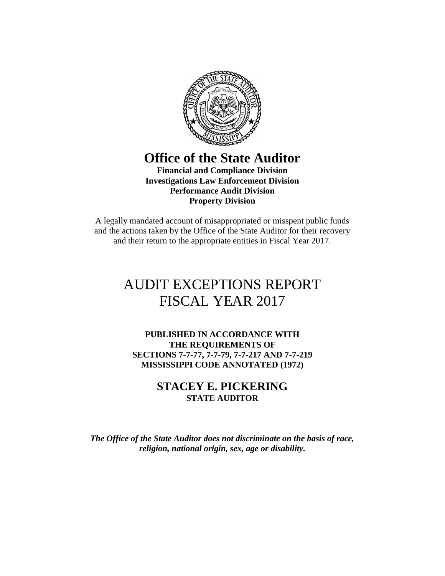

## **Office of the State Auditor Financial and Compliance Division**

**Investigations Law Enforcement Division Performance Audit Division Property Division**

A legally mandated account of misappropriated or misspent public funds and the actions taken by the Office of the State Auditor for their recovery and their return to the appropriate entities in Fiscal Year 2017.

## AUDIT EXCEPTIONS REPORT FISCAL YEAR 2017

**PUBLISHED IN ACCORDANCE WITH THE REQUIREMENTS OF SECTIONS 7-7-77, 7-7-79, 7-7-217 AND 7-7-219 MISSISSIPPI CODE ANNOTATED (1972)**

> **STACEY E. PICKERING STATE AUDITOR**

*The Office of the State Auditor does not discriminate on the basis of race, religion, national origin, sex, age or disability.*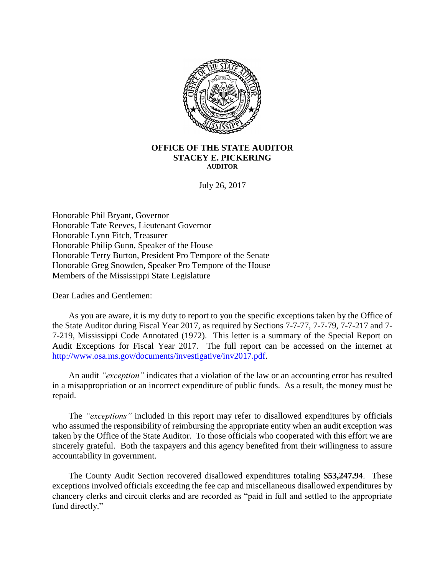

#### **OFFICE OF THE STATE AUDITOR STACEY E. PICKERING AUDITOR**

July 26, 2017

Honorable Phil Bryant, Governor Honorable Tate Reeves, Lieutenant Governor Honorable Lynn Fitch, Treasurer Honorable Philip Gunn, Speaker of the House Honorable Terry Burton, President Pro Tempore of the Senate Honorable Greg Snowden, Speaker Pro Tempore of the House Members of the Mississippi State Legislature

Dear Ladies and Gentlemen:

As you are aware, it is my duty to report to you the specific exceptions taken by the Office of the State Auditor during Fiscal Year 2017, as required by Sections 7-7-77, 7-7-79, 7-7-217 and 7- 7-219, Mississippi Code Annotated (1972). This letter is a summary of the Special Report on Audit Exceptions for Fiscal Year 2017. The full report can be accessed on the internet at [http://www.osa.ms.gov/documents/investigative/inv2017.pdf.](http://www.osa.ms.gov/documents/investigative/inv2017.pdf)

An audit *"exception"* indicates that a violation of the law or an accounting error has resulted in a misappropriation or an incorrect expenditure of public funds. As a result, the money must be repaid.

The *"exceptions"* included in this report may refer to disallowed expenditures by officials who assumed the responsibility of reimbursing the appropriate entity when an audit exception was taken by the Office of the State Auditor. To those officials who cooperated with this effort we are sincerely grateful. Both the taxpayers and this agency benefited from their willingness to assure accountability in government.

The County Audit Section recovered disallowed expenditures totaling **\$53,247.94**. These exceptions involved officials exceeding the fee cap and miscellaneous disallowed expenditures by chancery clerks and circuit clerks and are recorded as "paid in full and settled to the appropriate fund directly."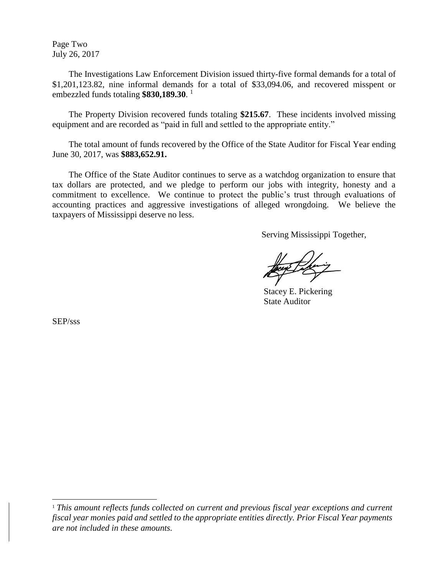Page Two July 26, 2017

The Investigations Law Enforcement Division issued thirty-five formal demands for a total of \$1,201,123.82, nine informal demands for a total of \$33,094.06, and recovered misspent or embezzled funds totaling **\$830,189.30**. 1

The Property Division recovered funds totaling **\$215.67**. These incidents involved missing equipment and are recorded as "paid in full and settled to the appropriate entity."

The total amount of funds recovered by the Office of the State Auditor for Fiscal Year ending June 30, 2017, was **\$883,652.91.**

The Office of the State Auditor continues to serve as a watchdog organization to ensure that tax dollars are protected, and we pledge to perform our jobs with integrity, honesty and a commitment to excellence. We continue to protect the public's trust through evaluations of accounting practices and aggressive investigations of alleged wrongdoing. We believe the taxpayers of Mississippi deserve no less.

Serving Mississippi Together,

 Stacey E. Pickering State Auditor

SEP/sss

l

<sup>1</sup> *This amount reflects funds collected on current and previous fiscal year exceptions and current fiscal year monies paid and settled to the appropriate entities directly. Prior Fiscal Year payments are not included in these amounts.*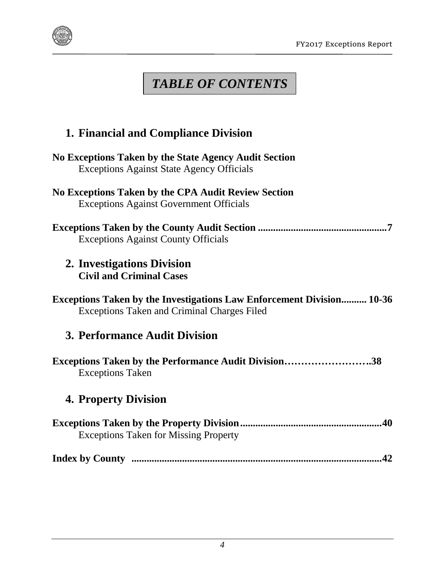



## *TABLE OF CONTENTS*

## **1. Financial and Compliance Division**

| No Exceptions Taken by the State Agency Audit Section<br><b>Exceptions Against State Agency Officials</b>                          |
|------------------------------------------------------------------------------------------------------------------------------------|
| No Exceptions Taken by the CPA Audit Review Section<br><b>Exceptions Against Government Officials</b>                              |
| <b>Exceptions Against County Officials</b>                                                                                         |
| 2. Investigations Division<br><b>Civil and Criminal Cases</b>                                                                      |
| <b>Exceptions Taken by the Investigations Law Enforcement Division 10-36</b><br><b>Exceptions Taken and Criminal Charges Filed</b> |
| <b>3. Performance Audit Division</b>                                                                                               |
| <b>Exceptions Taken by the Performance Audit Division38</b><br><b>Exceptions Taken</b>                                             |
| <b>4. Property Division</b>                                                                                                        |
| <b>Exceptions Taken for Missing Property</b>                                                                                       |
| 42                                                                                                                                 |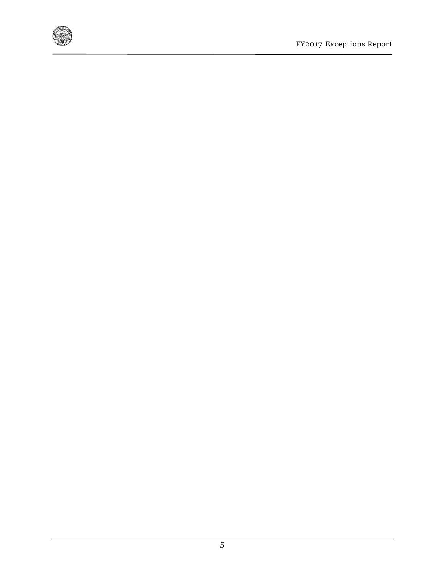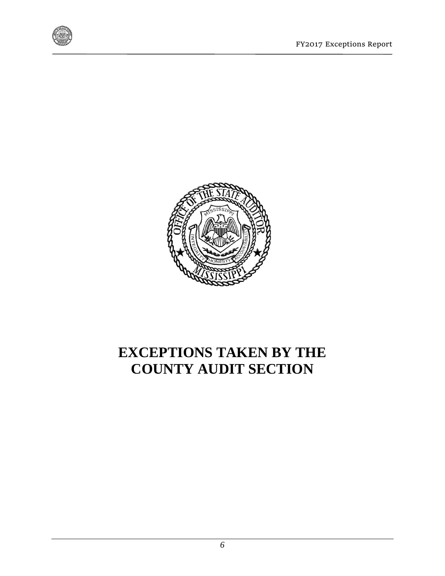



## **EXCEPTIONS TAKEN BY THE COUNTY AUDIT SECTION**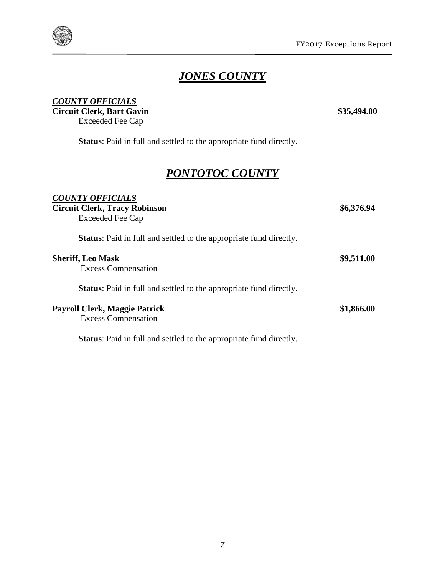



## *JONES COUNTY*

## *COUNTY OFFICIALS*

**Circuit Clerk, Bart Gavin \$35,494.00** Exceeded Fee Cap

**Status**: Paid in full and settled to the appropriate fund directly.

## *PONTOTOC COUNTY*

| <b>COUNTY OFFICIALS</b><br><b>Circuit Clerk, Tracy Robinson</b><br>Exceeded Fee Cap | \$6,376.94 |
|-------------------------------------------------------------------------------------|------------|
| <b>Status:</b> Paid in full and settled to the appropriate fund directly.           |            |
| <b>Sheriff, Leo Mask</b><br><b>Excess Compensation</b>                              | \$9,511.00 |
| <b>Status:</b> Paid in full and settled to the appropriate fund directly.           |            |
| Payroll Clerk, Maggie Patrick<br><b>Excess Compensation</b>                         | \$1,866.00 |

**Status**: Paid in full and settled to the appropriate fund directly.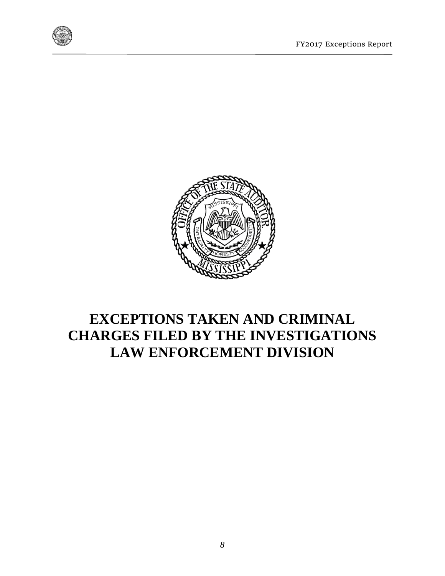



## **EXCEPTIONS TAKEN AND CRIMINAL CHARGES FILED BY THE INVESTIGATIONS LAW ENFORCEMENT DIVISION**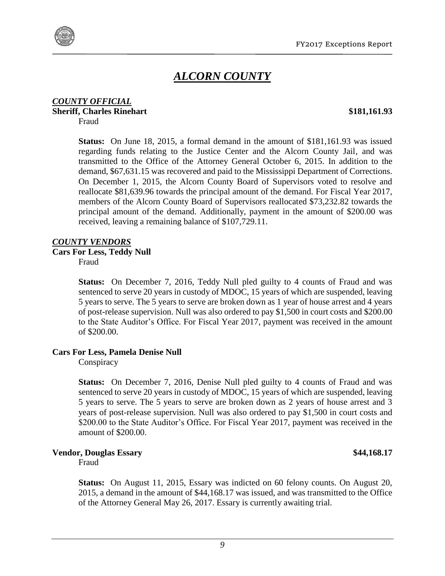



## *ALCORN COUNTY*

## *COUNTY OFFICIAL* **Sheriff, Charles Rinehart \$181,161.93**

Fraud

**Status:** On June 18, 2015, a formal demand in the amount of \$181,161.93 was issued regarding funds relating to the Justice Center and the Alcorn County Jail, and was transmitted to the Office of the Attorney General October 6, 2015. In addition to the demand, \$67,631.15 was recovered and paid to the Mississippi Department of Corrections. On December 1, 2015, the Alcorn County Board of Supervisors voted to resolve and reallocate \$81,639.96 towards the principal amount of the demand. For Fiscal Year 2017, members of the Alcorn County Board of Supervisors reallocated \$73,232.82 towards the principal amount of the demand. Additionally, payment in the amount of \$200.00 was received, leaving a remaining balance of \$107,729.11.

#### *COUNTY VENDORS*

#### **Cars For Less, Teddy Null**

Fraud

**Status:** On December 7, 2016, Teddy Null pled guilty to 4 counts of Fraud and was sentenced to serve 20 years in custody of MDOC, 15 years of which are suspended, leaving 5 years to serve. The 5 years to serve are broken down as 1 year of house arrest and 4 years of post-release supervision. Null was also ordered to pay \$1,500 in court costs and \$200.00 to the State Auditor's Office. For Fiscal Year 2017, payment was received in the amount of \$200.00.

#### **Cars For Less, Pamela Denise Null**

**Conspiracy** 

**Status:** On December 7, 2016, Denise Null pled guilty to 4 counts of Fraud and was sentenced to serve 20 years in custody of MDOC, 15 years of which are suspended, leaving 5 years to serve. The 5 years to serve are broken down as 2 years of house arrest and 3 years of post-release supervision. Null was also ordered to pay \$1,500 in court costs and \$200.00 to the State Auditor's Office. For Fiscal Year 2017, payment was received in the amount of \$200.00.

#### **Vendor, Douglas Essary \$44,168.17**

Fraud

**Status:** On August 11, 2015, Essary was indicted on 60 felony counts. On August 20, 2015, a demand in the amount of \$44,168.17 was issued, and was transmitted to the Office of the Attorney General May 26, 2017. Essary is currently awaiting trial.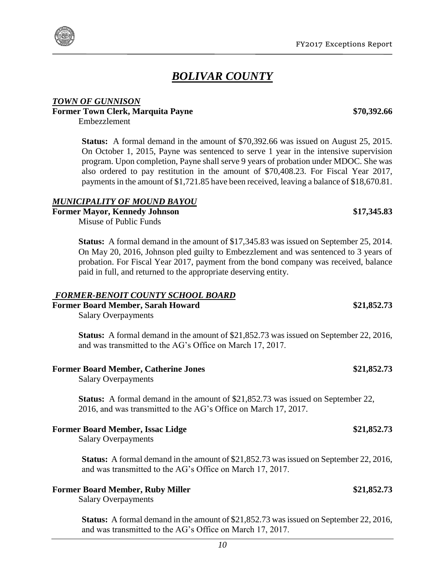## *BOLIVAR COUNTY*

## *TOWN OF GUNNISON* **Former Town Clerk, Marquita Payne \$70,392.66**

Embezzlement

**Status:** A formal demand in the amount of \$70,392.66 was issued on August 25, 2015. On October 1, 2015, Payne was sentenced to serve 1 year in the intensive supervision program. Upon completion, Payne shall serve 9 years of probation under MDOC. She was also ordered to pay restitution in the amount of \$70,408.23. For Fiscal Year 2017, payments in the amount of \$1,721.85 have been received, leaving a balance of \$18,670.81.

## *MUNICIPALITY OF MOUND BAYOU*

**Former Mayor, Kennedy Johnson \$17,345.83** Misuse of Public Funds

**Status:** A formal demand in the amount of \$17,345.83 was issued on September 25, 2014. On May 20, 2016, Johnson pled guilty to Embezzlement and was sentenced to 3 years of probation. For Fiscal Year 2017, payment from the bond company was received, balance paid in full, and returned to the appropriate deserving entity.

### *FORMER-BENOIT COUNTY SCHOOL BOARD*

**Former Board Member, Sarah Howard \$21,852.73**

Salary Overpayments

**Status:** A formal demand in the amount of \$21,852.73 was issued on September 22, 2016, and was transmitted to the AG's Office on March 17, 2017.

#### **Former Board Member, Catherine Jones \$21,852.73**

Salary Overpayments

**Status:** A formal demand in the amount of \$21,852.73 was issued on September 22, 2016, and was transmitted to the AG's Office on March 17, 2017.

#### **Former Board Member, Issac Lidge \$21,852.73**

Salary Overpayments

**Status:** A formal demand in the amount of \$21,852.73 was issued on September 22, 2016, and was transmitted to the AG's Office on March 17, 2017.

## **Former Board Member, Ruby Miller \$21,852.73**

Salary Overpayments

**Status:** A formal demand in the amount of \$21,852.73 was issued on September 22, 2016, and was transmitted to the AG's Office on March 17, 2017.

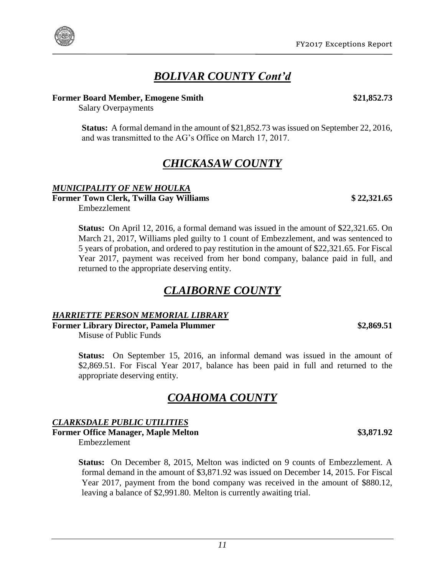## *BOLIVAR COUNTY Cont'd*

## **Former Board Member, Emogene Smith \$21,852.73**

Salary Overpayments

**Status:** A formal demand in the amount of \$21,852.73 was issued on September 22, 2016, and was transmitted to the AG's Office on March 17, 2017.

## *CHICKASAW COUNTY*

## *MUNICIPALITY OF NEW HOULKA*

**Former Town Clerk, Twilla Gay Williams \$ 22,321.65**

Embezzlement

**Status:** On April 12, 2016, a formal demand was issued in the amount of \$22,321.65. On March 21, 2017, Williams pled guilty to 1 count of Embezzlement, and was sentenced to 5 years of probation, and ordered to pay restitution in the amount of \$22,321.65. For Fiscal Year 2017, payment was received from her bond company, balance paid in full, and returned to the appropriate deserving entity.

## *CLAIBORNE COUNTY*

## *HARRIETTE PERSON MEMORIAL LIBRARY*

**Former Library Director, Pamela Plummer \$2,869.51** Misuse of Public Funds

**Status:** On September 15, 2016, an informal demand was issued in the amount of \$2,869.51. For Fiscal Year 2017, balance has been paid in full and returned to the appropriate deserving entity.

## *COAHOMA COUNTY*

## *CLARKSDALE PUBLIC UTILITIES*

#### **Former Office Manager, Maple Melton \$3,871.92**

Embezzlement

**Status:** On December 8, 2015, Melton was indicted on 9 counts of Embezzlement. A formal demand in the amount of \$3,871.92 was issued on December 14, 2015. For Fiscal Year 2017, payment from the bond company was received in the amount of \$880.12, leaving a balance of \$2,991.80. Melton is currently awaiting trial.

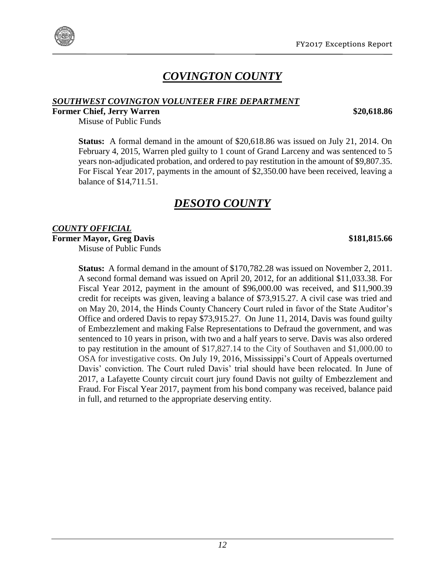

## *COVINGTON COUNTY*

#### *SOUTHWEST COVINGTON VOLUNTEER FIRE DEPARTMENT*

### **Former Chief, Jerry Warren \$20,618.86**

Misuse of Public Funds

**Status:** A formal demand in the amount of \$20,618.86 was issued on July 21, 2014. On February 4, 2015, Warren pled guilty to 1 count of Grand Larceny and was sentenced to 5 years non-adjudicated probation, and ordered to pay restitution in the amount of \$9,807.35. For Fiscal Year 2017, payments in the amount of \$2,350.00 have been received, leaving a balance of \$14,711.51.

## *DESOTO COUNTY*

*COUNTY OFFICIAL* **Former Mayor, Greg Davis \$181,815.66** Misuse of Public Funds

**Status:** A formal demand in the amount of \$170,782.28 was issued on November 2, 2011. A second formal demand was issued on April 20, 2012, for an additional \$11,033.38. For Fiscal Year 2012, payment in the amount of \$96,000.00 was received, and \$11,900.39 credit for receipts was given, leaving a balance of \$73,915.27. A civil case was tried and on May 20, 2014, the Hinds County Chancery Court ruled in favor of the State Auditor's Office and ordered Davis to repay \$73,915.27. On June 11, 2014, Davis was found guilty of Embezzlement and making False Representations to Defraud the government, and was sentenced to 10 years in prison, with two and a half years to serve. Davis was also ordered to pay restitution in the amount of \$17,827.14 to the City of Southaven and \$1,000.00 to OSA for investigative costs. On July 19, 2016, Mississippi's Court of Appeals overturned Davis' conviction. The Court ruled Davis' trial should have been relocated. In June of 2017, a Lafayette County circuit court jury found Davis not guilty of Embezzlement and Fraud. For Fiscal Year 2017, payment from his bond company was received, balance paid in full, and returned to the appropriate deserving entity.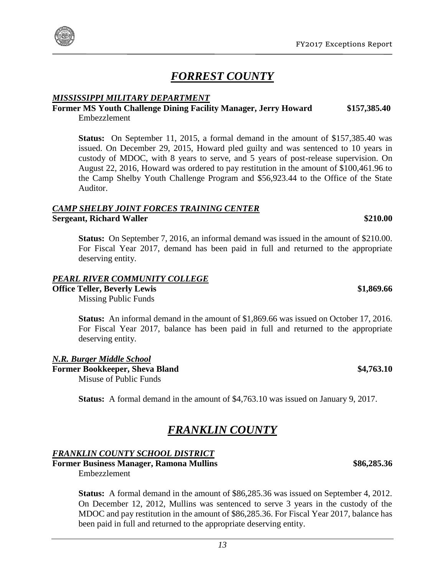## *FORREST COUNTY*

## *MISSISSIPPI MILITARY DEPARTMENT*

#### **Former MS Youth Challenge Dining Facility Manager, Jerry Howard \$157,385.40** Embezzlement

**Status:** On September 11, 2015, a formal demand in the amount of \$157,385.40 was issued. On December 29, 2015, Howard pled guilty and was sentenced to 10 years in custody of MDOC, with 8 years to serve, and 5 years of post-release supervision. On August 22, 2016, Howard was ordered to pay restitution in the amount of \$100,461.96 to the Camp Shelby Youth Challenge Program and \$56,923.44 to the Office of the State Auditor.

### *CAMP SHELBY JOINT FORCES TRAINING CENTER* **Sergeant, Richard Waller \$210.00**

**Status:** On September 7, 2016, an informal demand was issued in the amount of \$210.00. For Fiscal Year 2017, demand has been paid in full and returned to the appropriate deserving entity.

## *PEARL RIVER COMMUNITY COLLEGE*

**Office Teller, Beverly Lewis \$1,869.66**

Missing Public Funds

**Status:** An informal demand in the amount of \$1,869.66 was issued on October 17, 2016. For Fiscal Year 2017, balance has been paid in full and returned to the appropriate deserving entity.

*N.R. Burger Middle School* **Former Bookkeeper, Sheva Bland \$4,763.10** Misuse of Public Funds

**Status:** A formal demand in the amount of \$4,763.10 was issued on January 9, 2017.

## *FRANKLIN COUNTY*

## *FRANKLIN COUNTY SCHOOL DISTRICT*

**Former Business Manager, Ramona Mullins \$86,285.36** Embezzlement

**Status:** A formal demand in the amount of \$86,285.36 was issued on September 4, 2012. On December 12, 2012, Mullins was sentenced to serve 3 years in the custody of the MDOC and pay restitution in the amount of \$86,285.36. For Fiscal Year 2017, balance has been paid in full and returned to the appropriate deserving entity.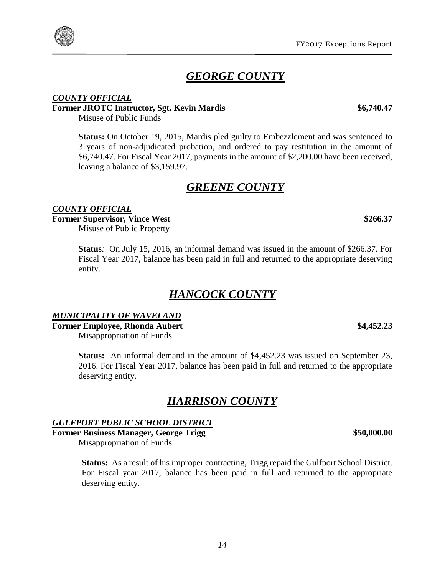## *GEORGE COUNTY*

#### *COUNTY OFFICIAL* **Former JROTC Instructor, Sgt. Kevin Mardis \$6,740.47**

Misuse of Public Funds

**Status:** On October 19, 2015, Mardis pled guilty to Embezzlement and was sentenced to 3 years of non-adjudicated probation, and ordered to pay restitution in the amount of \$6,740.47. For Fiscal Year 2017, payments in the amount of \$2,200.00 have been received, leaving a balance of \$3,159.97.

## *GREENE COUNTY*

## *COUNTY OFFICIAL*

**Former Supervisor, Vince West \$266.37** 

Misuse of Public Property

**Status***:* On July 15, 2016, an informal demand was issued in the amount of \$266.37. For Fiscal Year 2017, balance has been paid in full and returned to the appropriate deserving entity.

## *HANCOCK COUNTY*

## *MUNICIPALITY OF WAVELAND*

**Former Employee, Rhonda Aubert \$4,452.23**

Misappropriation of Funds

**Status:** An informal demand in the amount of \$4,452.23 was issued on September 23, 2016. For Fiscal Year 2017, balance has been paid in full and returned to the appropriate deserving entity.

## *HARRISON COUNTY*

## *GULFPORT PUBLIC SCHOOL DISTRICT*

**Former Business Manager, George Trigg \$50,000.00**

Misappropriation of Funds

**Status:** As a result of his improper contracting, Trigg repaid the Gulfport School District. For Fiscal year 2017, balance has been paid in full and returned to the appropriate deserving entity.

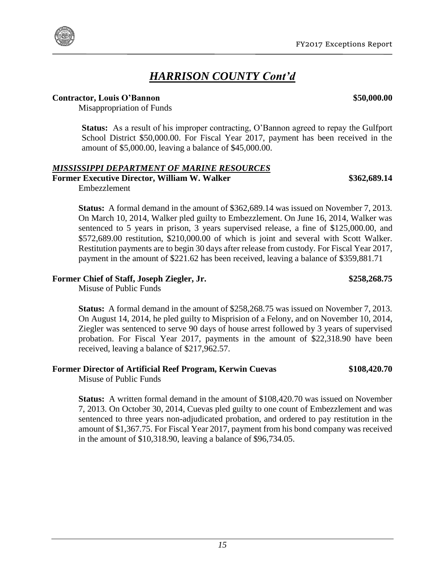## *HARRISON COUNTY Cont'd*

#### **Contractor, Louis O'Bannon \$50,000.00**

Misappropriation of Funds

**Status:** As a result of his improper contracting, O'Bannon agreed to repay the Gulfport School District \$50,000.00. For Fiscal Year 2017, payment has been received in the amount of \$5,000.00, leaving a balance of \$45,000.00.

#### *MISSISSIPPI DEPARTMENT OF MARINE RESOURCES*

#### **Former Executive Director, William W. Walker \$362,689.14**

Embezzlement

**Status:** A formal demand in the amount of \$362,689.14 was issued on November 7, 2013. On March 10, 2014, Walker pled guilty to Embezzlement. On June 16, 2014, Walker was sentenced to 5 years in prison, 3 years supervised release, a fine of \$125,000.00, and \$572,689.00 restitution, \$210,000.00 of which is joint and several with Scott Walker. Restitution payments are to begin 30 days after release from custody. For Fiscal Year 2017, payment in the amount of \$221.62 has been received, leaving a balance of \$359,881.71

#### **Former Chief of Staff, Joseph Ziegler, Jr. \$258,268.75**

Misuse of Public Funds

**Status:** A formal demand in the amount of \$258,268.75 was issued on November 7, 2013. On August 14, 2014, he pled guilty to Misprision of a Felony, and on November 10, 2014, Ziegler was sentenced to serve 90 days of house arrest followed by 3 years of supervised probation. For Fiscal Year 2017, payments in the amount of \$22,318.90 have been received, leaving a balance of \$217,962.57.

### **Former Director of Artificial Reef Program, Kerwin Cuevas \$108,420.70**

Misuse of Public Funds

**Status:** A written formal demand in the amount of \$108,420.70 was issued on November 7, 2013. On October 30, 2014, Cuevas pled guilty to one count of Embezzlement and was sentenced to three years non-adjudicated probation, and ordered to pay restitution in the amount of \$1,367.75. For Fiscal Year 2017, payment from his bond company was received in the amount of \$10,318.90, leaving a balance of \$96,734.05.



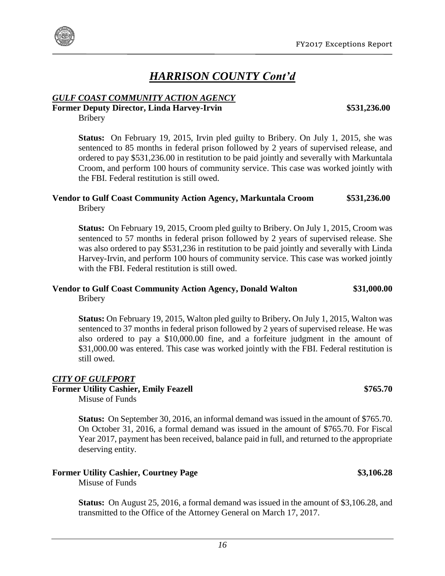

## *HARRISON COUNTY Cont'd*

### *GULF COAST COMMUNITY ACTION AGENCY*

#### **Former Deputy Director, Linda Harvey-Irvin** \$531,236.00

Bribery

**Status:** On February 19, 2015, Irvin pled guilty to Bribery. On July 1, 2015, she was sentenced to 85 months in federal prison followed by 2 years of supervised release, and ordered to pay \$531,236.00 in restitution to be paid jointly and severally with Markuntala Croom, and perform 100 hours of community service. This case was worked jointly with the FBI. Federal restitution is still owed.

#### **Vendor to Gulf Coast Community Action Agency, Markuntala Croom \$531,236.00** Bribery

**Status:** On February 19, 2015, Croom pled guilty to Bribery. On July 1, 2015, Croom was sentenced to 57 months in federal prison followed by 2 years of supervised release. She was also ordered to pay \$531,236 in restitution to be paid jointly and severally with Linda Harvey-Irvin, and perform 100 hours of community service. This case was worked jointly with the FBI. Federal restitution is still owed.

#### **Vendor to Gulf Coast Community Action Agency, Donald Walton \$31,000.00** Bribery

**Status:** On February 19, 2015, Walton pled guilty to Bribery**.** On July 1, 2015, Walton was sentenced to 37 months in federal prison followed by 2 years of supervised release. He was also ordered to pay a \$10,000.00 fine, and a forfeiture judgment in the amount of \$31,000.00 was entered. This case was worked jointly with the FBI. Federal restitution is still owed.

### *CITY OF GULFPORT*

Former Utility Cashier, Emily Feazell **\$765.70** 

Misuse of Funds

**Status:** On September 30, 2016, an informal demand was issued in the amount of \$765.70. On October 31, 2016, a formal demand was issued in the amount of \$765.70. For Fiscal Year 2017, payment has been received, balance paid in full, and returned to the appropriate deserving entity.

### **Former Utility Cashier, Courtney Page \$3,106.28**

Misuse of Funds

**Status:** On August 25, 2016, a formal demand was issued in the amount of \$3,106.28, and transmitted to the Office of the Attorney General on March 17, 2017.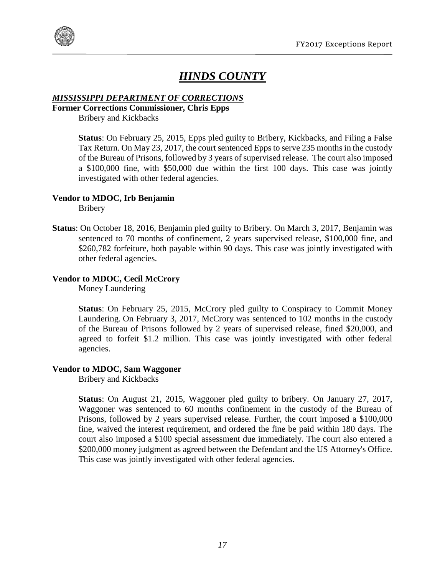

## *HINDS COUNTY*

## *MISSISSIPPI DEPARTMENT OF CORRECTIONS*

**Former Corrections Commissioner, Chris Epps**

Bribery and Kickbacks

**Status**: On February 25, 2015, Epps pled guilty to Bribery, Kickbacks, and Filing a False Tax Return. On May 23, 2017, the court sentenced Epps to serve 235 months in the custody of the Bureau of Prisons, followed by 3 years of supervised release. The court also imposed a \$100,000 fine, with \$50,000 due within the first 100 days. This case was jointly investigated with other federal agencies.

### **Vendor to MDOC, Irb Benjamin**

Bribery

**Status**: On October 18, 2016, Benjamin pled guilty to Bribery. On March 3, 2017, Benjamin was sentenced to 70 months of confinement, 2 years supervised release, \$100,000 fine, and \$260,782 forfeiture, both payable within 90 days. This case was jointly investigated with other federal agencies.

## **Vendor to MDOC, Cecil McCrory**

Money Laundering

**Status**: On February 25, 2015, McCrory pled guilty to Conspiracy to Commit Money Laundering. On February 3, 2017, McCrory was sentenced to 102 months in the custody of the Bureau of Prisons followed by 2 years of supervised release, fined \$20,000, and agreed to forfeit \$1.2 million. This case was jointly investigated with other federal agencies.

### **Vendor to MDOC, Sam Waggoner**

Bribery and Kickbacks

**Status**: On August 21, 2015, Waggoner pled guilty to bribery. On January 27, 2017, Waggoner was sentenced to 60 months confinement in the custody of the Bureau of Prisons, followed by 2 years supervised release. Further, the court imposed a \$100,000 fine, waived the interest requirement, and ordered the fine be paid within 180 days. The court also imposed a \$100 special assessment due immediately. The court also entered a \$200,000 money judgment as agreed between the Defendant and the US Attorney's Office. This case was jointly investigated with other federal agencies.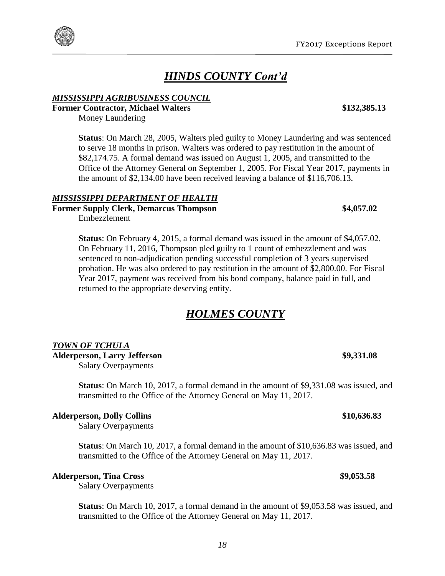## *HINDS COUNTY Cont'd*

## *MISSISSIPPI AGRIBUSINESS COUNCIL*

**Former Contractor, Michael Walters \$132,385.13** 

Money Laundering

**Status**: On March 28, 2005, Walters pled guilty to Money Laundering and was sentenced to serve 18 months in prison. Walters was ordered to pay restitution in the amount of \$82,174.75. A formal demand was issued on August 1, 2005, and transmitted to the Office of the Attorney General on September 1, 2005. For Fiscal Year 2017, payments in the amount of \$2,134.00 have been received leaving a balance of \$116,706.13.

## *MISSISSIPPI DEPARTMENT OF HEALTH*

### **Former Supply Clerk, Demarcus Thompson \$4,057.02**

Embezzlement

**Status**: On February 4, 2015, a formal demand was issued in the amount of \$4,057.02. On February 11, 2016, Thompson pled guilty to 1 count of embezzlement and was sentenced to non-adjudication pending successful completion of 3 years supervised probation. He was also ordered to pay restitution in the amount of \$2,800.00. For Fiscal Year 2017, payment was received from his bond company, balance paid in full, and returned to the appropriate deserving entity.

## *HOLMES COUNTY*

## *TOWN OF TCHULA*

#### **Alderperson, Larry Jefferson \$9,331.08** Salary Overpayments

**Status**: On March 10, 2017, a formal demand in the amount of \$9,331.08 was issued, and transmitted to the Office of the Attorney General on May 11, 2017.

### **Alderperson, Dolly Collins \$10,636.83**

Salary Overpayments

**Status**: On March 10, 2017, a formal demand in the amount of \$10,636.83 was issued, and transmitted to the Office of the Attorney General on May 11, 2017.

### **Alderperson, Tina Cross \$9,053.58**

Salary Overpayments

**Status**: On March 10, 2017, a formal demand in the amount of \$9,053.58 was issued, and transmitted to the Office of the Attorney General on May 11, 2017.

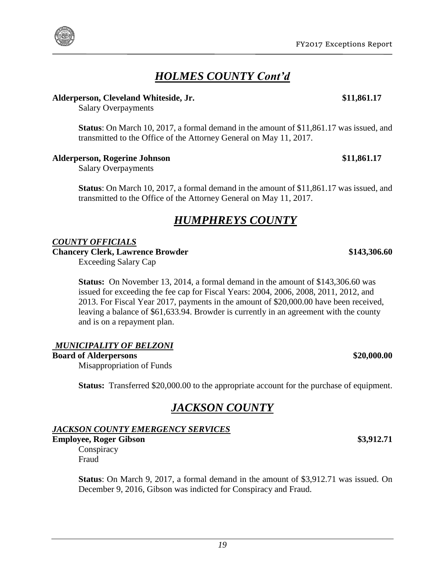## *HOLMES COUNTY Cont'd*

### **Alderperson, Cleveland Whiteside, Jr. \$11,861.17**

Salary Overpayments

**Status**: On March 10, 2017, a formal demand in the amount of \$11,861.17 was issued, and transmitted to the Office of the Attorney General on May 11, 2017.

### **Alderperson, Rogerine Johnson \$11,861.17**

Salary Overpayments

**Status**: On March 10, 2017, a formal demand in the amount of \$11,861.17 was issued, and transmitted to the Office of the Attorney General on May 11, 2017.

## *HUMPHREYS COUNTY*

### *COUNTY OFFICIALS*

**Chancery Clerk, Lawrence Browder \$143,306.60** 

Exceeding Salary Cap

**Status:** On November 13, 2014, a formal demand in the amount of \$143,306.60 was issued for exceeding the fee cap for Fiscal Years: 2004, 2006, 2008, 2011, 2012, and 2013. For Fiscal Year 2017, payments in the amount of \$20,000.00 have been received, leaving a balance of \$61,633.94. Browder is currently in an agreement with the county and is on a repayment plan.

## *MUNICIPALITY OF BELZONI*

**Board of Alderpersons \$20,000.00** Misappropriation of Funds

**Status:** Transferred \$20,000.00 to the appropriate account for the purchase of equipment.

## *JACKSON COUNTY*

## *JACKSON COUNTY EMERGENCY SERVICES*

**Employee, Roger Gibson \$3,912.71**

**Conspiracy** Fraud

**Status**: On March 9, 2017, a formal demand in the amount of \$3,912.71 was issued. On December 9, 2016, Gibson was indicted for Conspiracy and Fraud.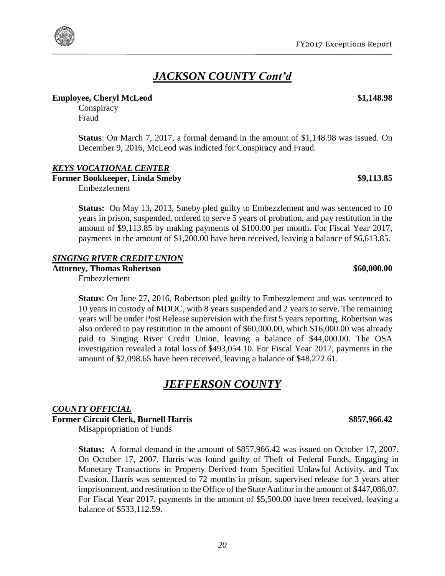## *JACKSON COUNTY Cont'd*

#### **Employee, Cheryl McLeod \$1,148.98 Conspiracy**

Fraud

**Status**: On March 7, 2017, a formal demand in the amount of \$1,148.98 was issued. On December 9, 2016, McLeod was indicted for Conspiracy and Fraud.

### *KEYS VOCATIONAL CENTER*

**Former Bookkeeper, Linda Smeby \$9,113.85** Embezzlement

**Status:** On May 13, 2013, Smeby pled guilty to Embezzlement and was sentenced to 10 years in prison, suspended, ordered to serve 5 years of probation, and pay restitution in the amount of \$9,113.85 by making payments of \$100.00 per month. For Fiscal Year 2017, payments in the amount of \$1,200.00 have been received, leaving a balance of \$6,613.85.

#### *SINGING RIVER CREDIT UNION*

Attorney, Thomas Robertson **\$60,000.00** 

Embezzlement

**Status**: On June 27, 2016, Robertson pled guilty to Embezzlement and was sentenced to 10 years in custody of MDOC, with 8 years suspended and 2 years to serve. The remaining years will be under Post Release supervision with the first 5 years reporting. Robertson was also ordered to pay restitution in the amount of \$60,000.00, which \$16,000.00 was already paid to Singing River Credit Union, leaving a balance of \$44,000.00. The OSA investigation revealed a total loss of \$493,054.10. For Fiscal Year 2017, payments in the amount of \$2,098.65 have been received, leaving a balance of \$48,272.61.

## *JEFFERSON COUNTY*

### *COUNTY OFFICIAL*

### **Former Circuit Clerk, Burnell Harris \$857,966.42**

Misappropriation of Funds

**Status:** A formal demand in the amount of \$857,966.42 was issued on October 17, 2007. On October 17, 2007, Harris was found guilty of Theft of Federal Funds, Engaging in Monetary Transactions in Property Derived from Specified Unlawful Activity, and Tax Evasion. Harris was sentenced to 72 months in prison, supervised release for 3 years after imprisonment, and restitution to the Office of the State Auditor in the amount of \$447,086.07. For Fiscal Year 2017, payments in the amount of \$5,500.00 have been received, leaving a balance of \$533,112.59.



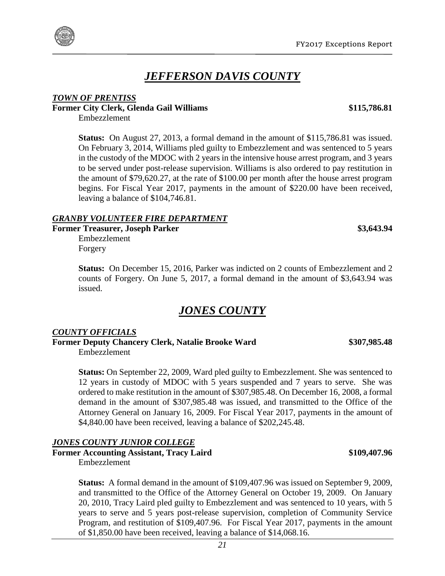*21*

## *JEFFERSON DAVIS COUNTY*

#### *TOWN OF PRENTISS* **Former City Clerk, Glenda Gail Williams \$115,786.81**

Embezzlement

**Status:** On August 27, 2013, a formal demand in the amount of \$115,786.81 was issued. On February 3, 2014, Williams pled guilty to Embezzlement and was sentenced to 5 years in the custody of the MDOC with 2 years in the intensive house arrest program, and 3 years to be served under post-release supervision. Williams is also ordered to pay restitution in the amount of \$79,620.27, at the rate of \$100.00 per month after the house arrest program begins. For Fiscal Year 2017, payments in the amount of \$220.00 have been received, leaving a balance of \$104,746.81.

## *GRANBY VOLUNTEER FIRE DEPARTMENT*

**Former Treasurer, Joseph Parker \$3,643.94**

Embezzlement Forgery

**Status:** On December 15, 2016, Parker was indicted on 2 counts of Embezzlement and 2 counts of Forgery. On June 5, 2017, a formal demand in the amount of \$3,643.94 was issued.

## *JONES COUNTY*

### *COUNTY OFFICIALS*

**Former Deputy Chancery Clerk, Natalie Brooke Ward \$307,985.48**

Embezzlement

**Status:** On September 22, 2009, Ward pled guilty to Embezzlement. She was sentenced to 12 years in custody of MDOC with 5 years suspended and 7 years to serve. She was ordered to make restitution in the amount of \$307,985.48. On December 16, 2008, a formal demand in the amount of \$307,985.48 was issued, and transmitted to the Office of the Attorney General on January 16, 2009. For Fiscal Year 2017, payments in the amount of \$4,840.00 have been received, leaving a balance of \$202,245.48.

### *JONES COUNTY JUNIOR COLLEGE*

Former Accounting Assistant, Tracy Laird **\$109,407.96** Embezzlement

**Status:** A formal demand in the amount of \$109,407.96 was issued on September 9, 2009, and transmitted to the Office of the Attorney General on October 19, 2009. On January 20, 2010, Tracy Laird pled guilty to Embezzlement and was sentenced to 10 years, with 5 years to serve and 5 years post-release supervision, completion of Community Service Program, and restitution of \$109,407.96. For Fiscal Year 2017, payments in the amount of \$1,850.00 have been received, leaving a balance of \$14,068.16.



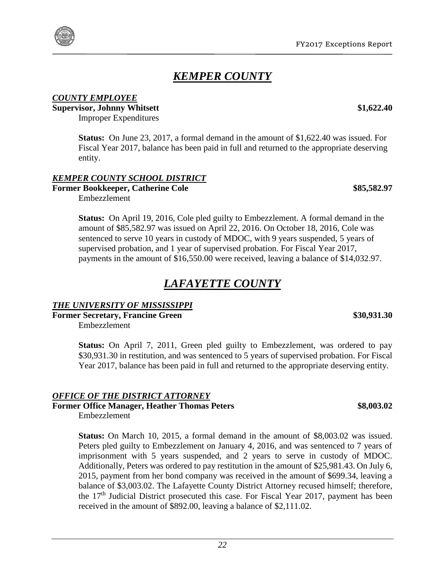## *KEMPER COUNTY*

### *COUNTY EMPLOYEE* **Supervisor, Johnny Whitsett \$1,622.40**

Improper Expenditures

**Status:** On June 23, 2017, a formal demand in the amount of \$1,622.40 was issued. For Fiscal Year 2017, balance has been paid in full and returned to the appropriate deserving entity.

## *KEMPER COUNTY SCHOOL DISTRICT*

**Former Bookkeeper, Catherine Cole \$85,582.97** Embezzlement

**Status:** On April 19, 2016, Cole pled guilty to Embezzlement. A formal demand in the amount of \$85,582.97 was issued on April 22, 2016. On October 18, 2016, Cole was sentenced to serve 10 years in custody of MDOC, with 9 years suspended, 5 years of supervised probation, and 1 year of supervised probation. For Fiscal Year 2017, payments in the amount of \$16,550.00 were received, leaving a balance of \$14,032.97.

## *LAFAYETTE COUNTY*

## *THE UNIVERSITY OF MISSISSIPPI*

**Former Secretary, Francine Green \$30,931.30** 

Embezzlement

**Status:** On April 7, 2011, Green pled guilty to Embezzlement, was ordered to pay \$30,931.30 in restitution, and was sentenced to 5 years of supervised probation. For Fiscal Year 2017, balance has been paid in full and returned to the appropriate deserving entity.

## *OFFICE OF THE DISTRICT ATTORNEY*

## **Former Office Manager, Heather Thomas Peters \$8,003.02**

Embezzlement

**Status:** On March 10, 2015, a formal demand in the amount of \$8,003.02 was issued. Peters pled guilty to Embezzlement on January 4, 2016, and was sentenced to 7 years of imprisonment with 5 years suspended, and 2 years to serve in custody of MDOC. Additionally, Peters was ordered to pay restitution in the amount of \$25,981.43. On July 6, 2015, payment from her bond company was received in the amount of \$699.34, leaving a balance of \$3,003.02. The Lafayette County District Attorney recused himself; therefore, the 17<sup>th</sup> Judicial District prosecuted this case. For Fiscal Year 2017, payment has been received in the amount of \$892.00, leaving a balance of \$2,111.02.

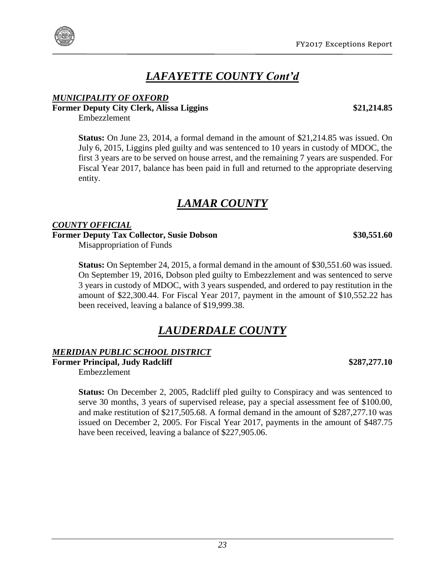*23*

## *LAFAYETTE COUNTY Cont'd*

## *MUNICIPALITY OF OXFORD*

## **Former Deputy City Clerk, Alissa Liggins \$21,214.85**

Embezzlement

**Status:** On June 23, 2014, a formal demand in the amount of \$21,214.85 was issued. On July 6, 2015, Liggins pled guilty and was sentenced to 10 years in custody of MDOC, the first 3 years are to be served on house arrest, and the remaining 7 years are suspended. For Fiscal Year 2017, balance has been paid in full and returned to the appropriate deserving entity.

## *LAMAR COUNTY*

### *COUNTY OFFICIAL*

**Former Deputy Tax Collector, Susie Dobson \$30,551.60**

Misappropriation of Funds

**Status:** On September 24, 2015, a formal demand in the amount of \$30,551.60 was issued. On September 19, 2016, Dobson pled guilty to Embezzlement and was sentenced to serve 3 years in custody of MDOC, with 3 years suspended, and ordered to pay restitution in the amount of \$22,300.44. For Fiscal Year 2017, payment in the amount of \$10,552.22 has been received, leaving a balance of \$19,999.38.

## *LAUDERDALE COUNTY*

#### *MERIDIAN PUBLIC SCHOOL DISTRICT* **Former Principal, Judy Radcliff \$287,277.10**

Embezzlement

**Status:** On December 2, 2005, Radcliff pled guilty to Conspiracy and was sentenced to serve 30 months, 3 years of supervised release, pay a special assessment fee of \$100.00, and make restitution of \$217,505.68. A formal demand in the amount of \$287,277.10 was issued on December 2, 2005. For Fiscal Year 2017, payments in the amount of \$487.75 have been received, leaving a balance of \$227,905.06.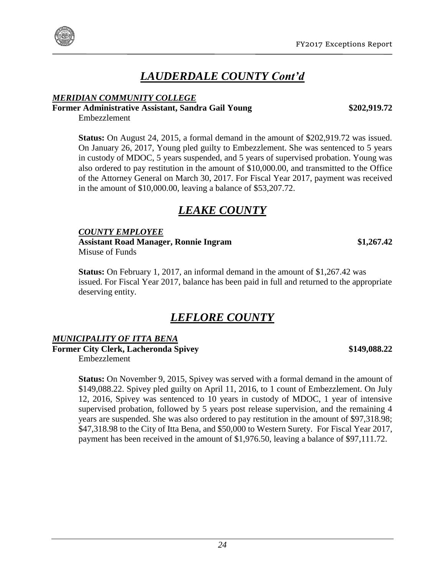*24*

## *LAUDERDALE COUNTY Cont'd*

## *MERIDIAN COMMUNITY COLLEGE*

## **Former Administrative Assistant, Sandra Gail Young \$202,919.72**

Embezzlement

**Status:** On August 24, 2015, a formal demand in the amount of \$202,919.72 was issued. On January 26, 2017, Young pled guilty to Embezzlement. She was sentenced to 5 years in custody of MDOC, 5 years suspended, and 5 years of supervised probation. Young was also ordered to pay restitution in the amount of \$10,000.00, and transmitted to the Office of the Attorney General on March 30, 2017. For Fiscal Year 2017, payment was received in the amount of \$10,000.00, leaving a balance of \$53,207.72.

## *LEAKE COUNTY*

## *COUNTY EMPLOYEE*

**Assistant Road Manager, Ronnie Ingram \$1,267.42** Misuse of Funds

**Status:** On February 1, 2017, an informal demand in the amount of \$1,267.42 was issued. For Fiscal Year 2017, balance has been paid in full and returned to the appropriate deserving entity.

## *LEFLORE COUNTY*

## *MUNICIPALITY OF ITTA BENA*

**Former City Clerk, Lacheronda Spivey \$149,088.22**

Embezzlement

**Status:** On November 9, 2015, Spivey was served with a formal demand in the amount of \$149,088.22. Spivey pled guilty on April 11, 2016, to 1 count of Embezzlement. On July 12, 2016, Spivey was sentenced to 10 years in custody of MDOC, 1 year of intensive supervised probation, followed by 5 years post release supervision, and the remaining 4 years are suspended. She was also ordered to pay restitution in the amount of \$97,318.98; \$47,318.98 to the City of Itta Bena, and \$50,000 to Western Surety. For Fiscal Year 2017, payment has been received in the amount of \$1,976.50, leaving a balance of \$97,111.72.

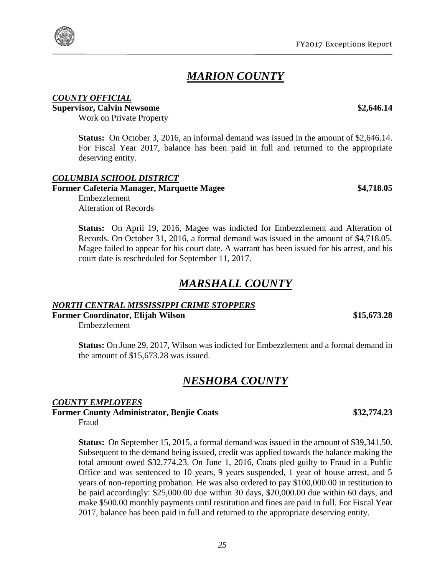## *MARION COUNTY*

#### *COUNTY OFFICIAL* **Supervisor, Calvin Newsome \$2,646.14**

Work on Private Property

**Status:** On October 3, 2016, an informal demand was issued in the amount of \$2,646.14. For Fiscal Year 2017, balance has been paid in full and returned to the appropriate deserving entity.

## *COLUMBIA SCHOOL DISTRICT*

**Former Cafeteria Manager, Marquette Magee \$4,718.05** Embezzlement Alteration of Records

**Status:** On April 19, 2016, Magee was indicted for Embezzlement and Alteration of Records. On October 31, 2016, a formal demand was issued in the amount of \$4,718.05. Magee failed to appear for his court date. A warrant has been issued for his arrest, and his court date is rescheduled for September 11, 2017.

## *MARSHALL COUNTY*

### *NORTH CENTRAL MISSISSIPPI CRIME STOPPERS*

**Former Coordinator, Elijah Wilson \$15,673.28**

Embezzlement

**Status:** On June 29, 2017, Wilson was indicted for Embezzlement and a formal demand in the amount of \$15,673.28 was issued.

## *NESHOBA COUNTY*

### *COUNTY EMPLOYEES*

**Former County Administrator, Benjie Coats \$32,774.23**

Fraud

**Status:** On September 15, 2015, a formal demand was issued in the amount of \$39,341.50. Subsequent to the demand being issued, credit was applied towards the balance making the total amount owed \$32,774.23. On June 1, 2016, Coats pled guilty to Fraud in a Public Office and was sentenced to 10 years, 9 years suspended, 1 year of house arrest, and 5 years of non-reporting probation. He was also ordered to pay \$100,000.00 in restitution to be paid accordingly: \$25,000.00 due within 30 days, \$20,000.00 due within 60 days, and make \$500.00 monthly payments until restitution and fines are paid in full. For Fiscal Year 2017, balance has been paid in full and returned to the appropriate deserving entity.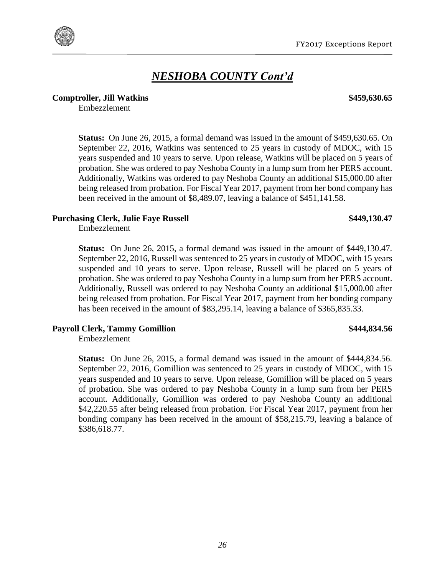## *NESHOBA COUNTY Cont'd*

### **Comptroller, Jill Watkins \$459,630.65**

Embezzlement

**Status:** On June 26, 2015, a formal demand was issued in the amount of \$459,630.65. On September 22, 2016, Watkins was sentenced to 25 years in custody of MDOC, with 15 years suspended and 10 years to serve. Upon release, Watkins will be placed on 5 years of probation. She was ordered to pay Neshoba County in a lump sum from her PERS account. Additionally, Watkins was ordered to pay Neshoba County an additional \$15,000.00 after being released from probation. For Fiscal Year 2017, payment from her bond company has been received in the amount of \$8,489.07, leaving a balance of \$451,141.58.

### **Purchasing Clerk, Julie Faye Russell <b>8449,130.47 \$449,130.47**

Embezzlement

**Status:** On June 26, 2015, a formal demand was issued in the amount of \$449,130.47. September 22, 2016, Russell was sentenced to 25 years in custody of MDOC, with 15 years suspended and 10 years to serve. Upon release, Russell will be placed on 5 years of probation. She was ordered to pay Neshoba County in a lump sum from her PERS account. Additionally, Russell was ordered to pay Neshoba County an additional \$15,000.00 after being released from probation. For Fiscal Year 2017, payment from her bonding company has been received in the amount of \$83,295.14, leaving a balance of \$365,835.33.

## **Payroll Clerk, Tammy Gomillion \$444,834.56**

Embezzlement

**Status:** On June 26, 2015, a formal demand was issued in the amount of \$444,834.56. September 22, 2016, Gomillion was sentenced to 25 years in custody of MDOC, with 15 years suspended and 10 years to serve. Upon release, Gomillion will be placed on 5 years of probation. She was ordered to pay Neshoba County in a lump sum from her PERS account. Additionally, Gomillion was ordered to pay Neshoba County an additional \$42,220.55 after being released from probation. For Fiscal Year 2017, payment from her bonding company has been received in the amount of \$58,215.79, leaving a balance of \$386,618.77.

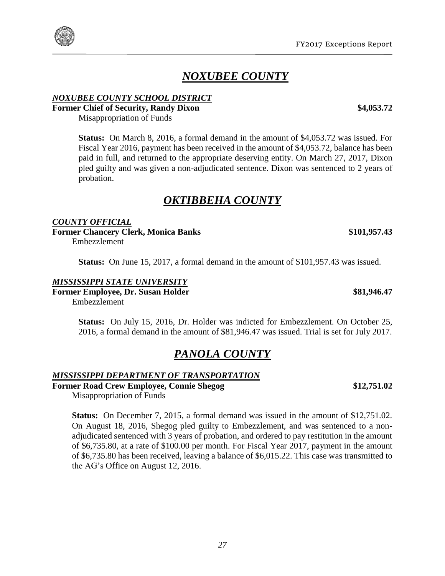## *NOXUBEE COUNTY*

## *NOXUBEE COUNTY SCHOOL DISTRICT*

Former Chief of Security, Randy Dixon **\$4,053.72** Misappropriation of Funds

**Status:** On March 8, 2016, a formal demand in the amount of \$4,053.72 was issued. For Fiscal Year 2016, payment has been received in the amount of \$4,053.72, balance has been paid in full, and returned to the appropriate deserving entity. On March 27, 2017, Dixon pled guilty and was given a non-adjudicated sentence. Dixon was sentenced to 2 years of probation.

## *OKTIBBEHA COUNTY*

## *COUNTY OFFICIAL*

**Former Chancery Clerk, Monica Banks \$101,957.43** Embezzlement

**Status:** On June 15, 2017, a formal demand in the amount of \$101,957.43 was issued.

## *MISSISSIPPI STATE UNIVERSITY*

**Former Employee, Dr. Susan Holder \$81,946.47** 

Embezzlement

**Status:** On July 15, 2016, Dr. Holder was indicted for Embezzlement. On October 25, 2016, a formal demand in the amount of \$81,946.47 was issued. Trial is set for July 2017.

## *PANOLA COUNTY*

#### *MISSISSIPPI DEPARTMENT OF TRANSPORTATION* **Former Road Crew Employee, Connie Shegog \$12,751.02**

Misappropriation of Funds

**Status:** On December 7, 2015, a formal demand was issued in the amount of \$12,751.02. On August 18, 2016, Shegog pled guilty to Embezzlement, and was sentenced to a nonadjudicated sentenced with 3 years of probation, and ordered to pay restitution in the amount of \$6,735.80, at a rate of \$100.00 per month. For Fiscal Year 2017, payment in the amount of \$6,735.80 has been received, leaving a balance of \$6,015.22. This case was transmitted to the AG's Office on August 12, 2016.

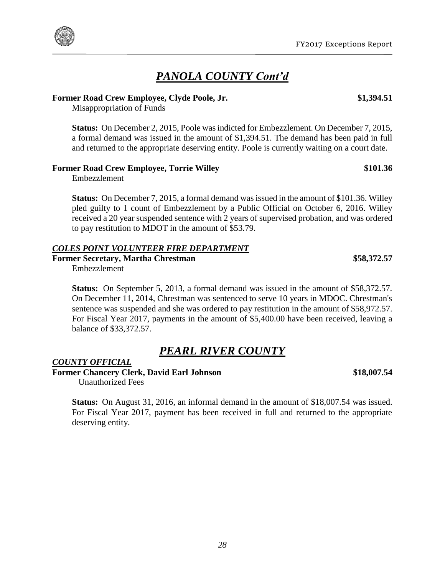## *PANOLA COUNTY Cont'd*

#### **Former Road Crew Employee, Clyde Poole, Jr. \$1,394.51**

Misappropriation of Funds

**Status:** On December 2, 2015, Poole was indicted for Embezzlement. On December 7, 2015, a formal demand was issued in the amount of \$1,394.51. The demand has been paid in full and returned to the appropriate deserving entity. Poole is currently waiting on a court date.

### **Former Road Crew Employee, Torrie Willey \$101.36**

Embezzlement

**Status:** On December 7, 2015, a formal demand was issued in the amount of \$101.36. Willey pled guilty to 1 count of Embezzlement by a Public Official on October 6, 2016. Willey received a 20 year suspended sentence with 2 years of supervised probation, and was ordered to pay restitution to MDOT in the amount of \$53.79.

#### *COLES POINT VOLUNTEER FIRE DEPARTMENT*

**Former Secretary, Martha Chrestman \$58,372.57** Embezzlement

**Status:** On September 5, 2013, a formal demand was issued in the amount of \$58,372.57. On December 11, 2014, Chrestman was sentenced to serve 10 years in MDOC. Chrestman's sentence was suspended and she was ordered to pay restitution in the amount of \$58,972.57. For Fiscal Year 2017, payments in the amount of \$5,400.00 have been received, leaving a balance of \$33,372.57.

## *PEARL RIVER COUNTY*

## *COUNTY OFFICIAL*

## **Former Chancery Clerk, David Earl Johnson \$18,007.54**

Unauthorized Fees

**Status:** On August 31, 2016, an informal demand in the amount of \$18,007.54 was issued. For Fiscal Year 2017, payment has been received in full and returned to the appropriate deserving entity.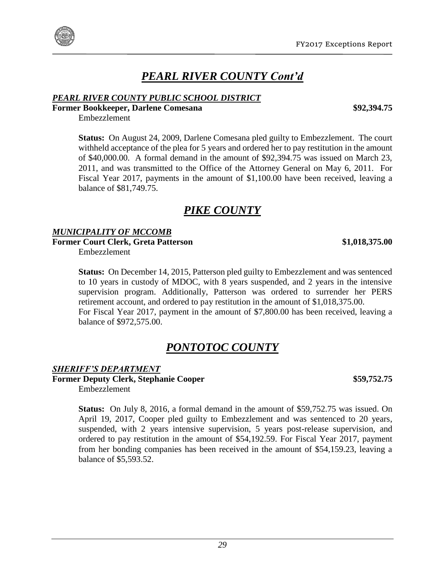## *PEARL RIVER COUNTY Cont'd*

## *PEARL RIVER COUNTY PUBLIC SCHOOL DISTRICT*

**Former Bookkeeper, Darlene Comesana \$92,394.75** Embezzlement

**Status:** On August 24, 2009, Darlene Comesana pled guilty to Embezzlement. The court withheld acceptance of the plea for 5 years and ordered her to pay restitution in the amount of \$40,000.00. A formal demand in the amount of \$92,394.75 was issued on March 23, 2011, and was transmitted to the Office of the Attorney General on May 6, 2011. For Fiscal Year 2017, payments in the amount of \$1,100.00 have been received, leaving a balance of \$81,749.75.

## *PIKE COUNTY*

## *MUNICIPALITY OF MCCOMB*

**Former Court Clerk, Greta Patterson \$1,018,375.00**

Embezzlement

**Status:** On December 14, 2015, Patterson pled guilty to Embezzlement and was sentenced to 10 years in custody of MDOC, with 8 years suspended, and 2 years in the intensive supervision program. Additionally, Patterson was ordered to surrender her PERS retirement account, and ordered to pay restitution in the amount of \$1,018,375.00. For Fiscal Year 2017, payment in the amount of \$7,800.00 has been received, leaving a balance of \$972,575.00.

## *PONTOTOC COUNTY*

### *SHERIFF'S DEPARTMENT*

## **Former Deputy Clerk, Stephanie Cooper \$59,752.75**

Embezzlement

**Status:** On July 8, 2016, a formal demand in the amount of \$59,752.75 was issued. On April 19, 2017, Cooper pled guilty to Embezzlement and was sentenced to 20 years, suspended, with 2 years intensive supervision, 5 years post-release supervision, and ordered to pay restitution in the amount of \$54,192.59. For Fiscal Year 2017, payment from her bonding companies has been received in the amount of \$54,159.23, leaving a balance of \$5,593.52.



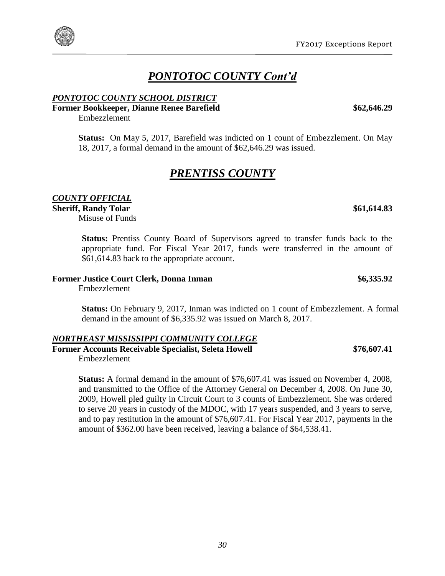## *PONTOTOC COUNTY Cont'd*

## *PONTOTOC COUNTY SCHOOL DISTRICT*

**Former Bookkeeper, Dianne Renee Barefield \$62,646.29** Embezzlement

**Status:** On May 5, 2017, Barefield was indicted on 1 count of Embezzlement. On May 18, 2017, a formal demand in the amount of \$62,646.29 was issued.

## *PRENTISS COUNTY*

## *COUNTY OFFICIAL*

**Sheriff, Randy Tolar \$61,614.83** Misuse of Funds

**Status:** Prentiss County Board of Supervisors agreed to transfer funds back to the appropriate fund. For Fiscal Year 2017, funds were transferred in the amount of \$61,614.83 back to the appropriate account.

#### **Former Justice Court Clerk, Donna Inman \$6,335.92**

Embezzlement

**Status:** On February 9, 2017, Inman was indicted on 1 count of Embezzlement. A formal demand in the amount of \$6,335.92 was issued on March 8, 2017.

### *NORTHEAST MISSISSIPPI COMMUNITY COLLEGE*

**Former Accounts Receivable Specialist, Seleta Howell \$76,607.41** Embezzlement

**Status:** A formal demand in the amount of \$76,607.41 was issued on November 4, 2008, and transmitted to the Office of the Attorney General on December 4, 2008. On June 30, 2009, Howell pled guilty in Circuit Court to 3 counts of Embezzlement. She was ordered to serve 20 years in custody of the MDOC, with 17 years suspended, and 3 years to serve, and to pay restitution in the amount of \$76,607.41. For Fiscal Year 2017, payments in the amount of \$362.00 have been received, leaving a balance of \$64,538.41.

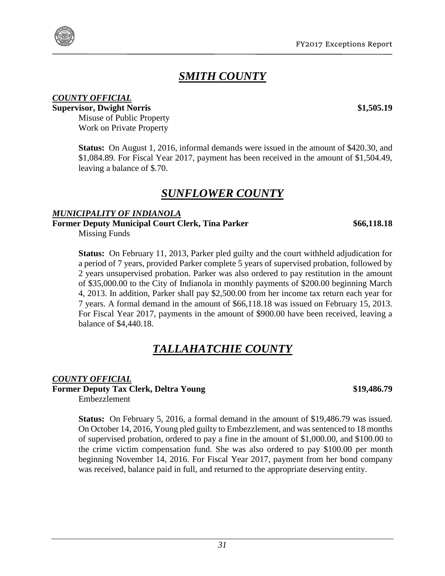## *SMITH COUNTY*

## *COUNTY OFFICIAL*

## **Supervisor, Dwight Norris \$1,505.19**

Misuse of Public Property Work on Private Property

**Status:** On August 1, 2016, informal demands were issued in the amount of \$420.30, and \$1,084.89. For Fiscal Year 2017, payment has been received in the amount of \$1,504.49, leaving a balance of \$.70.

## *SUNFLOWER COUNTY*

## *MUNICIPALITY OF INDIANOLA*

## **Former Deputy Municipal Court Clerk, Tina Parker \$66,118.18**

Missing Funds

**Status:** On February 11, 2013, Parker pled guilty and the court withheld adjudication for a period of 7 years, provided Parker complete 5 years of supervised probation, followed by 2 years unsupervised probation. Parker was also ordered to pay restitution in the amount of \$35,000.00 to the City of Indianola in monthly payments of \$200.00 beginning March 4, 2013. In addition, Parker shall pay \$2,500.00 from her income tax return each year for 7 years. A formal demand in the amount of \$66,118.18 was issued on February 15, 2013. For Fiscal Year 2017, payments in the amount of \$900.00 have been received, leaving a balance of \$4,440.18.

## *TALLAHATCHIE COUNTY*

### *COUNTY OFFICIAL*

**Former Deputy Tax Clerk, Deltra Young \$19,486.79** Embezzlement

**Status:** On February 5, 2016, a formal demand in the amount of \$19,486.79 was issued. On October 14, 2016, Young pled guilty to Embezzlement, and was sentenced to 18 months of supervised probation, ordered to pay a fine in the amount of \$1,000.00, and \$100.00 to the crime victim compensation fund. She was also ordered to pay \$100.00 per month beginning November 14, 2016. For Fiscal Year 2017, payment from her bond company was received, balance paid in full, and returned to the appropriate deserving entity.

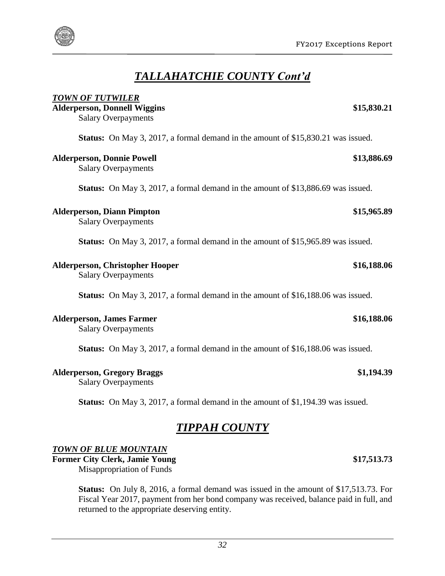

## *TALLAHATCHIE COUNTY Cont'd*

## *TOWN OF TUTWILER*

| <b>Alderperson, Donnell Wiggins</b>                                                     | \$15,830.21 |
|-----------------------------------------------------------------------------------------|-------------|
| <b>Salary Overpayments</b>                                                              |             |
| <b>Status:</b> On May 3, 2017, a formal demand in the amount of \$15,830.21 was issued. |             |

### **Alderperson, Donnie Powell \$13,886.69**

Salary Overpayments

**Status:** On May 3, 2017, a formal demand in the amount of \$13,886.69 was issued.

### **Alderperson, Diann Pimpton \$15,965.89**

Salary Overpayments

**Status:** On May 3, 2017, a formal demand in the amount of \$15,965.89 was issued.

#### **Alderperson, Christopher Hooper \$16,188.06**

Salary Overpayments

**Status:** On May 3, 2017, a formal demand in the amount of \$16,188.06 was issued.

#### **Alderperson, James Farmer \$16,188.06**

Salary Overpayments

**Status:** On May 3, 2017, a formal demand in the amount of \$16,188.06 was issued.

#### **Alderperson, Gregory Braggs \$1,194.39**

Salary Overpayments

**Status:** On May 3, 2017, a formal demand in the amount of \$1,194.39 was issued.

## *TIPPAH COUNTY*

#### *TOWN OF BLUE MOUNTAIN*

**Former City Clerk, Jamie Young \$17,513.73**

Misappropriation of Funds

**Status:** On July 8, 2016, a formal demand was issued in the amount of \$17,513.73. For Fiscal Year 2017, payment from her bond company was received, balance paid in full, and returned to the appropriate deserving entity.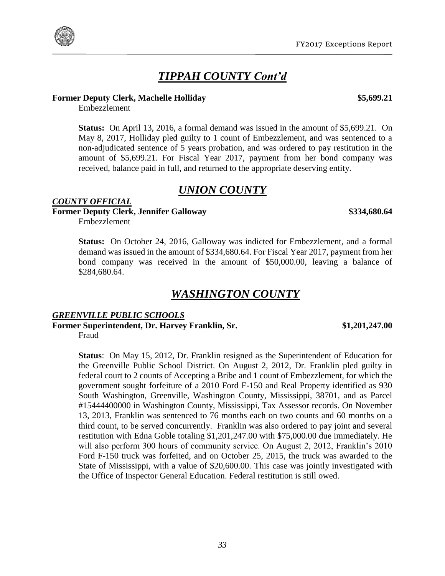## *TIPPAH COUNTY Cont'd*

### **Former Deputy Clerk, Machelle Holliday \$5,699.21**

Embezzlement

**Status:** On April 13, 2016, a formal demand was issued in the amount of \$5,699.21. On May 8, 2017, Holliday pled guilty to 1 count of Embezzlement, and was sentenced to a non-adjudicated sentence of 5 years probation, and was ordered to pay restitution in the amount of \$5,699.21. For Fiscal Year 2017, payment from her bond company was received, balance paid in full, and returned to the appropriate deserving entity.

## *UNION COUNTY*

### *COUNTY OFFICIAL*

### **Former Deputy Clerk, Jennifer Galloway \$334,680.64**

Embezzlement

**Status:** On October 24, 2016, Galloway was indicted for Embezzlement, and a formal demand was issued in the amount of \$334,680.64. For Fiscal Year 2017, payment from her bond company was received in the amount of \$50,000.00, leaving a balance of \$284,680.64.

## *WASHINGTON COUNTY*

### *GREENVILLE PUBLIC SCHOOLS*

**Former Superintendent, Dr. Harvey Franklin, Sr. \$1,201,247.00**

Fraud

**Status**: On May 15, 2012, Dr. Franklin resigned as the Superintendent of Education for the Greenville Public School District. On August 2, 2012, Dr. Franklin pled guilty in federal court to 2 counts of Accepting a Bribe and 1 count of Embezzlement, for which the government sought forfeiture of a 2010 Ford F-150 and Real Property identified as 930 South Washington, Greenville, Washington County, Mississippi, 38701, and as Parcel #15444400000 in Washington County, Mississippi, Tax Assessor records. On November 13, 2013, Franklin was sentenced to 76 months each on two counts and 60 months on a third count, to be served concurrently. Franklin was also ordered to pay joint and several restitution with Edna Goble totaling \$1,201,247.00 with \$75,000.00 due immediately. He will also perform 300 hours of community service. On August 2, 2012, Franklin's 2010 Ford F-150 truck was forfeited, and on October 25, 2015, the truck was awarded to the State of Mississippi, with a value of \$20,600.00. This case was jointly investigated with the Office of Inspector General Education. Federal restitution is still owed.

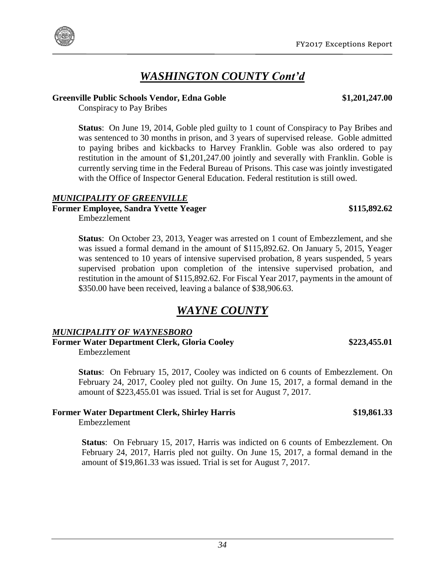## *WASHINGTON COUNTY Cont'd*

#### **Greenville Public Schools Vendor, Edna Goble \$1,201,247.00**

Conspiracy to Pay Bribes

**Status**: On June 19, 2014, Goble pled guilty to 1 count of Conspiracy to Pay Bribes and was sentenced to 30 months in prison, and 3 years of supervised release. Goble admitted to paying bribes and kickbacks to Harvey Franklin. Goble was also ordered to pay restitution in the amount of \$1,201,247.00 jointly and severally with Franklin. Goble is currently serving time in the Federal Bureau of Prisons. This case was jointly investigated with the Office of Inspector General Education. Federal restitution is still owed.

### *MUNICIPALITY OF GREENVILLE*

#### **Former Employee, Sandra Yvette Yeager \$115,892.62**

Embezzlement

**Status**: On October 23, 2013, Yeager was arrested on 1 count of Embezzlement, and she was issued a formal demand in the amount of \$115,892.62. On January 5, 2015, Yeager was sentenced to 10 years of intensive supervised probation, 8 years suspended, 5 years supervised probation upon completion of the intensive supervised probation, and restitution in the amount of \$115,892.62. For Fiscal Year 2017, payments in the amount of \$350.00 have been received, leaving a balance of \$38,906.63.

## *WAYNE COUNTY*

### *MUNICIPALITY OF WAYNESBORO*

**Former Water Department Clerk, Gloria Cooley \$223,455.01** Embezzlement

**Status**: On February 15, 2017, Cooley was indicted on 6 counts of Embezzlement. On February 24, 2017, Cooley pled not guilty. On June 15, 2017, a formal demand in the amount of \$223,455.01 was issued. Trial is set for August 7, 2017.

### **Former Water Department Clerk, Shirley Harris \$19,861.33**

Embezzlement

**Status**: On February 15, 2017, Harris was indicted on 6 counts of Embezzlement. On February 24, 2017, Harris pled not guilty. On June 15, 2017, a formal demand in the amount of \$19,861.33 was issued. Trial is set for August 7, 2017.

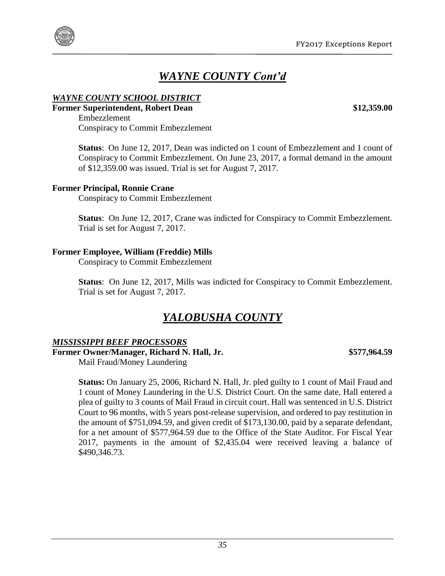

## *WAYNE COUNTY Cont'd*

## *WAYNE COUNTY SCHOOL DISTRICT*

## **Former Superintendent, Robert Dean \$12,359.00**

Embezzlement Conspiracy to Commit Embezzlement

**Status**: On June 12, 2017, Dean was indicted on 1 count of Embezzlement and 1 count of Conspiracy to Commit Embezzlement. On June 23, 2017, a formal demand in the amount of \$12,359.00 was issued. Trial is set for August 7, 2017.

### **Former Principal, Ronnie Crane**

Conspiracy to Commit Embezzlement

**Status**: On June 12, 2017, Crane was indicted for Conspiracy to Commit Embezzlement. Trial is set for August 7, 2017.

### **Former Employee, William (Freddie) Mills**

Conspiracy to Commit Embezzlement

**Status**: On June 12, 2017, Mills was indicted for Conspiracy to Commit Embezzlement. Trial is set for August 7, 2017.

## *YALOBUSHA COUNTY*

### *MISSISSIPPI BEEF PROCESSORS*

**Former Owner/Manager, Richard N. Hall, Jr. \$577,964.59**

Mail Fraud/Money Laundering

**Status:** On January 25, 2006, Richard N. Hall, Jr. pled guilty to 1 count of Mail Fraud and 1 count of Money Laundering in the U.S. District Court. On the same date, Hall entered a plea of guilty to 3 counts of Mail Fraud in circuit court. Hall was sentenced in U.S. District Court to 96 months, with 5 years post-release supervision, and ordered to pay restitution in the amount of \$751,094.59, and given credit of \$173,130.00, paid by a separate defendant, for a net amount of \$577,964.59 due to the Office of the State Auditor. For Fiscal Year 2017, payments in the amount of \$2,435.04 were received leaving a balance of \$490,346.73.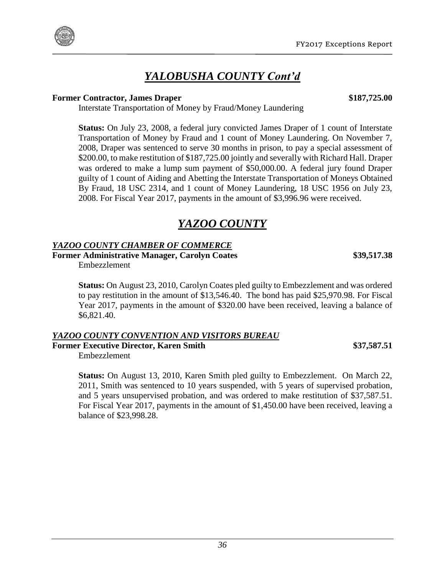## *YALOBUSHA COUNTY Cont'd*

#### **Former Contractor, James Draper \$187,725.00**

Interstate Transportation of Money by Fraud/Money Laundering

**Status:** On July 23, 2008, a federal jury convicted James Draper of 1 count of Interstate Transportation of Money by Fraud and 1 count of Money Laundering. On November 7, 2008, Draper was sentenced to serve 30 months in prison, to pay a special assessment of \$200.00, to make restitution of \$187,725.00 jointly and severally with Richard Hall. Draper was ordered to make a lump sum payment of \$50,000.00. A federal jury found Draper guilty of 1 count of Aiding and Abetting the Interstate Transportation of Moneys Obtained By Fraud, 18 USC 2314, and 1 count of Money Laundering, 18 USC 1956 on July 23, 2008. For Fiscal Year 2017, payments in the amount of \$3,996.96 were received.

## *YAZOO COUNTY*

## *YAZOO COUNTY CHAMBER OF COMMERCE*

**Former Administrative Manager, Carolyn Coates \$39,517.38**

Embezzlement

**Status:** On August 23, 2010, Carolyn Coates pled guilty to Embezzlement and was ordered to pay restitution in the amount of \$13,546.40. The bond has paid \$25,970.98. For Fiscal Year 2017, payments in the amount of \$320.00 have been received, leaving a balance of \$6,821.40.

### *YAZOO COUNTY CONVENTION AND VISITORS BUREAU*

## **Former Executive Director, Karen Smith \$37,587.51**

Embezzlement

**Status:** On August 13, 2010, Karen Smith pled guilty to Embezzlement. On March 22, 2011, Smith was sentenced to 10 years suspended, with 5 years of supervised probation, and 5 years unsupervised probation, and was ordered to make restitution of \$37,587.51. For Fiscal Year 2017, payments in the amount of \$1,450.00 have been received, leaving a balance of \$23,998.28.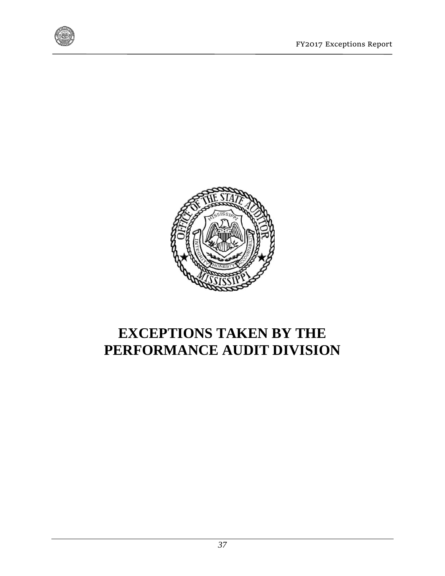



## **EXCEPTIONS TAKEN BY THE PERFORMANCE AUDIT DIVISION**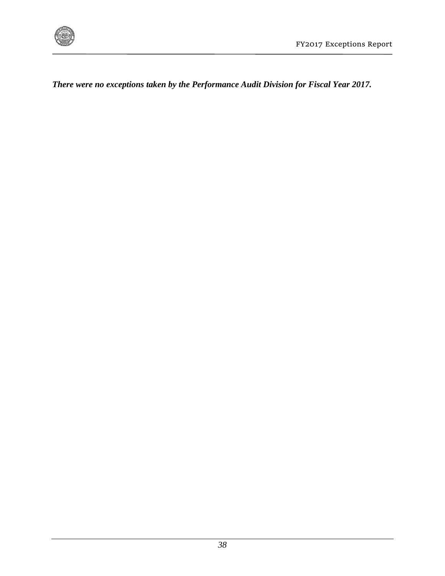

*There were no exceptions taken by the Performance Audit Division for Fiscal Year 2017.*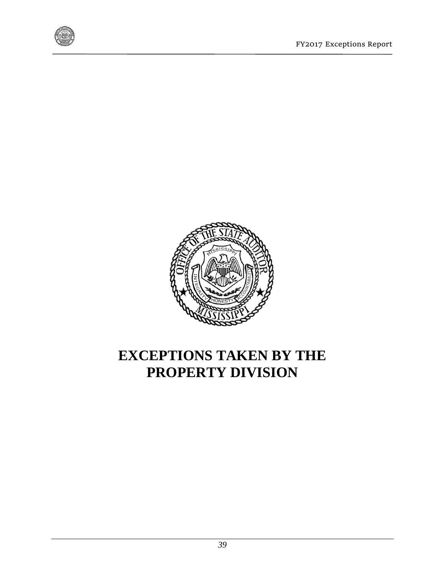



## **EXCEPTIONS TAKEN BY THE PROPERTY DIVISION**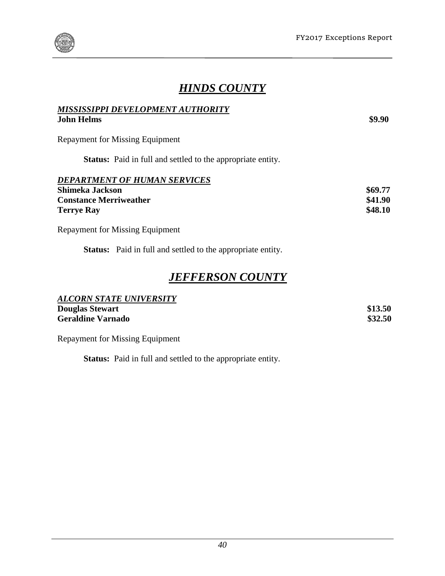

## *HINDS COUNTY*

| MISSISSIPPI DEVELOPMENT AUTHORITY<br><b>John Helms</b>                                                              | \$9.90                        |
|---------------------------------------------------------------------------------------------------------------------|-------------------------------|
| <b>Repayment for Missing Equipment</b>                                                                              |                               |
| <b>Status:</b> Paid in full and settled to the appropriate entity.                                                  |                               |
| <b>DEPARTMENT OF HUMAN SERVICES</b><br><b>Shimeka Jackson</b><br><b>Constance Merriweather</b><br><b>Terrye Ray</b> | \$69.77<br>\$41.90<br>\$48.10 |
| <b>Repayment for Missing Equipment</b>                                                                              |                               |
| <b>Status:</b> Paid in full and settled to the appropriate entity.                                                  |                               |

## *JEFFERSON COUNTY*

| <b>ALCORN STATE UNIVERSITY</b> |         |
|--------------------------------|---------|
| <b>Douglas Stewart</b>         | \$13.50 |
| <b>Geraldine Varnado</b>       | \$32.50 |

Repayment for Missing Equipment

**Status:** Paid in full and settled to the appropriate entity.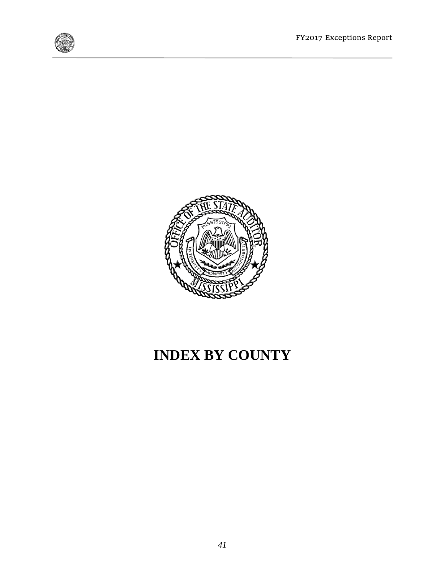



## **INDEX BY COUNTY**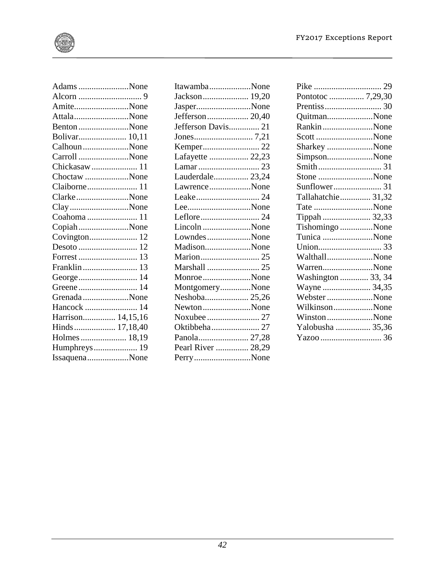

| Adams None        |  |
|-------------------|--|
|                   |  |
| AmiteNone         |  |
| AttalaNone        |  |
| Benton None       |  |
| Bolivar 10,11     |  |
| Calhoun None      |  |
| Carroll None      |  |
| Chickasaw 11      |  |
| Choctaw None      |  |
| Claiborne 11      |  |
| ClarkeNone        |  |
| $Clay$ None       |  |
| Coahoma 11        |  |
| CopiahNone        |  |
| Covington 12      |  |
|                   |  |
|                   |  |
| Franklin  13      |  |
|                   |  |
|                   |  |
| Grenada None      |  |
| Hancock  14       |  |
| Harrison 14,15,16 |  |
|                   |  |
| Holmes  18,19     |  |
| Humphreys 19      |  |
| IssaquenaNone     |  |

| ItawambaNone                       |  |
|------------------------------------|--|
|                                    |  |
|                                    |  |
| JasperNone                         |  |
|                                    |  |
| Jefferson Davis 21                 |  |
|                                    |  |
|                                    |  |
| Lafayette  22,23                   |  |
|                                    |  |
| Lauderdale 23,24                   |  |
| LawrenceNone                       |  |
|                                    |  |
| LeeNone                            |  |
|                                    |  |
| Lincoln None                       |  |
| LowndesNone                        |  |
| MadisonNone                        |  |
|                                    |  |
|                                    |  |
| MonroeNone                         |  |
| MontgomeryNone                     |  |
|                                    |  |
| Neshoba 25,26                      |  |
| NewtonNone                         |  |
|                                    |  |
|                                    |  |
|                                    |  |
| Panola 27,28<br>Pearl River  28,29 |  |

| QuitmanNone        |  |
|--------------------|--|
| Rankin None        |  |
| Scott None         |  |
| Sharkey None       |  |
| SimpsonNone        |  |
|                    |  |
| Stone None         |  |
|                    |  |
| Tallahatchie 31,32 |  |
| Tate None          |  |
| Tippah  32,33      |  |
| Tishomingo None    |  |
| Tunica None        |  |
|                    |  |
| WalthallNone       |  |
| WarrenNone         |  |
| Washington  33, 34 |  |
| Wayne  34,35       |  |
| Webster None       |  |
| WilkinsonNone      |  |
| WinstonNone        |  |
| Yalobusha  35,36   |  |
|                    |  |
|                    |  |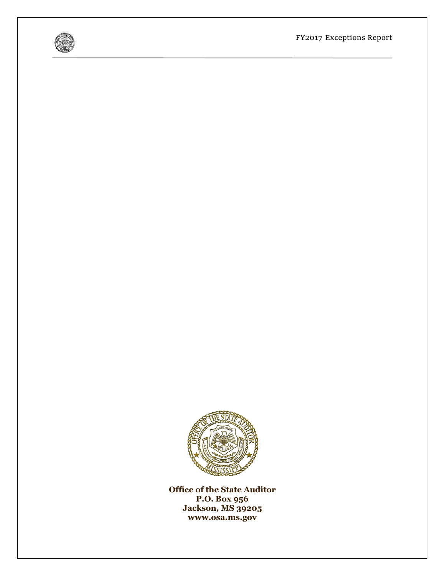



**Office of the State Auditor P.O. Box 956 Jackson, MS 39205 www.osa.ms.gov**